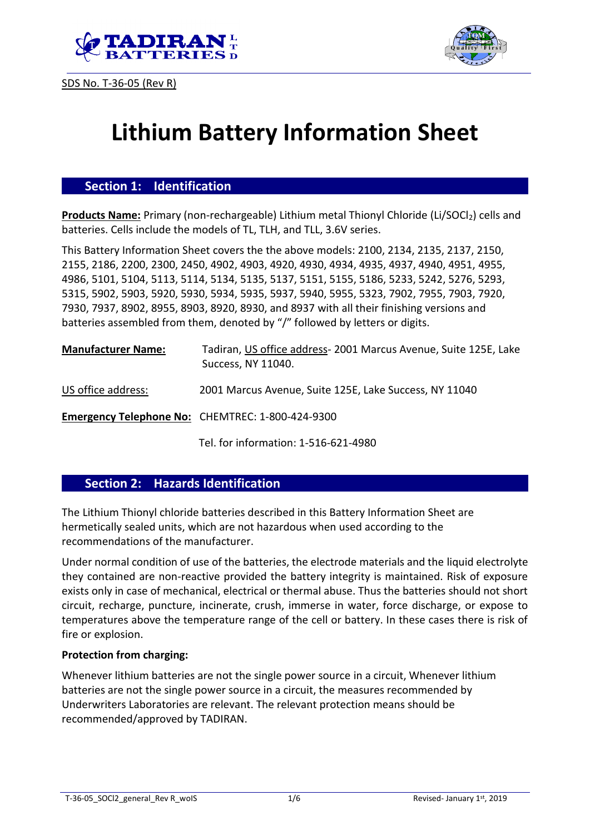





# **Lithium Battery Information Sheet**

## **Section 1: Identification**

**Products Name:** Primary (non-rechargeable) Lithium metal Thionyl Chloride (Li/SOCl<sub>2</sub>) cells and batteries. Cells include the models of TL, TLH, and TLL, 3.6V series.

This Battery Information Sheet covers the the above models: 2100, 2134, 2135, 2137, 2150, 2155, 2186, 2200, 2300, 2450, 4902, 4903, 4920, 4930, 4934, 4935, 4937, 4940, 4951, 4955, 4986, 5101, 5104, 5113, 5114, 5134, 5135, 5137, 5151, 5155, 5186, 5233, 5242, 5276, 5293, 5315, 5902, 5903, 5920, 5930, 5934, 5935, 5937, 5940, 5955, 5323, 7902, 7955, 7903, 7920, 7930, 7937, 8902, 8955, 8903, 8920, 8930, and 8937 with all their finishing versions and batteries assembled from them, denoted by "/" followed by letters or digits.

| <b>Manufacturer Name:</b> | Tadiran, US office address-2001 Marcus Avenue, Suite 125E, Lake<br>Success, NY 11040. |
|---------------------------|---------------------------------------------------------------------------------------|
| US office address:        | 2001 Marcus Avenue, Suite 125E, Lake Success, NY 11040                                |
|                           | Emergency Telephone No: CHEMTREC: 1-800-424-9300                                      |

Tel. for information: 1-516-621-4980

#### **Section 2: Hazards Identification**

The Lithium Thionyl chloride batteries described in this Battery Information Sheet are hermetically sealed units, which are not hazardous when used according to the recommendations of the manufacturer.

Under normal condition of use of the batteries, the electrode materials and the liquid electrolyte they contained are non-reactive provided the battery integrity is maintained. Risk of exposure exists only in case of mechanical, electrical or thermal abuse. Thus the batteries should not short circuit, recharge, puncture, incinerate, crush, immerse in water, force discharge, or expose to temperatures above the temperature range of the cell or battery. In these cases there is risk of fire or explosion.

#### **Protection from charging:**

Whenever lithium batteries are not the single power source in a circuit, Whenever lithium batteries are not the single power source in a circuit, the measures recommended by Underwriters Laboratories are relevant. The relevant protection means should be recommended/approved by TADIRAN.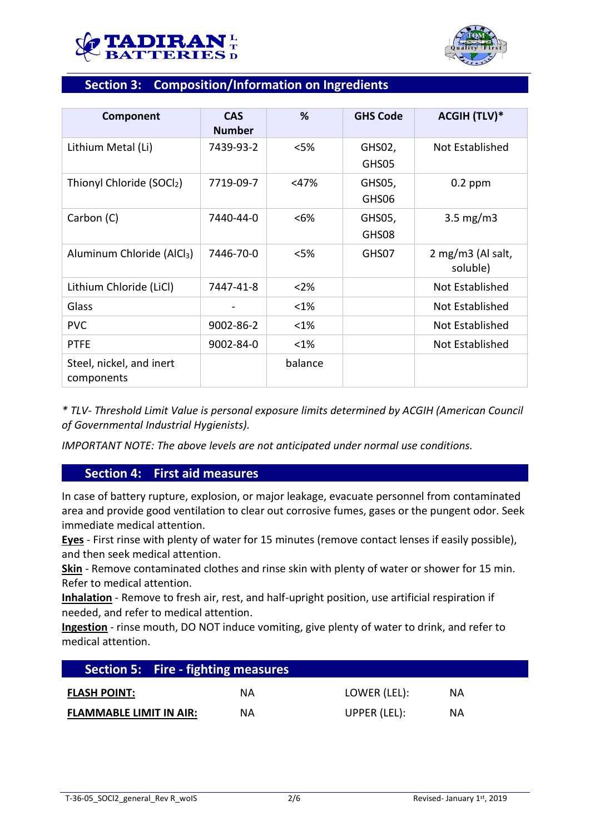



## **Section 3: Composition/Information on Ingredients**

| Component                              | <b>CAS</b><br><b>Number</b> | %       | <b>GHS Code</b> | <b>ACGIH (TLV)*</b>           |
|----------------------------------------|-----------------------------|---------|-----------------|-------------------------------|
| Lithium Metal (Li)                     | 7439-93-2                   | $<$ 5%  | GHS02,<br>GHS05 | Not Established               |
| Thionyl Chloride (SOCl2)               | 7719-09-7                   | $<$ 47% | GHS05,<br>GHS06 | $0.2$ ppm                     |
| Carbon (C)                             | 7440-44-0                   | $<6\%$  | GHS05,<br>GHS08 | $3.5 \text{ mg/m}$            |
| Aluminum Chloride (AlCl <sub>3</sub> ) | 7446-70-0                   | $<$ 5%  | GHS07           | 2 mg/m3 (Al salt,<br>soluble) |
| Lithium Chloride (LiCl)                | 7447-41-8                   | $<$ 2%  |                 | Not Established               |
| Glass                                  |                             | <1%     |                 | Not Established               |
| <b>PVC</b>                             | 9002-86-2                   | $<$ 1%  |                 | Not Established               |
| <b>PTFE</b>                            | 9002-84-0                   | $<$ 1%  |                 | Not Established               |
| Steel, nickel, and inert<br>components |                             | balance |                 |                               |

*\* TLV- Threshold Limit Value is personal exposure limits determined by ACGIH (American Council of Governmental Industrial Hygienists).*

*IMPORTANT NOTE: The above levels are not anticipated under normal use conditions.*

## **Section 4: First aid measures**

In case of battery rupture, explosion, or major leakage, evacuate personnel from contaminated area and provide good ventilation to clear out corrosive fumes, gases or the pungent odor. Seek immediate medical attention.

**Eyes** - First rinse with plenty of water for 15 minutes (remove contact lenses if easily possible), and then seek medical attention.

**Skin** - Remove contaminated clothes and rinse skin with plenty of water or shower for 15 min. Refer to medical attention.

**Inhalation** - Remove to fresh air, rest, and half-upright position, use artificial respiration if needed, and refer to medical attention.

**Ingestion** - rinse mouth, DO NOT induce vomiting, give plenty of water to drink, and refer to medical attention.

|                                | <b>Section 5: Fire - fighting measures</b> |              |     |  |
|--------------------------------|--------------------------------------------|--------------|-----|--|
| <b>FLASH POINT:</b>            | ΝA                                         | LOWER (LEL): | NA. |  |
| <b>FLAMMABLE LIMIT IN AIR:</b> | ΝA                                         | UPPER (LEL): | ΝA  |  |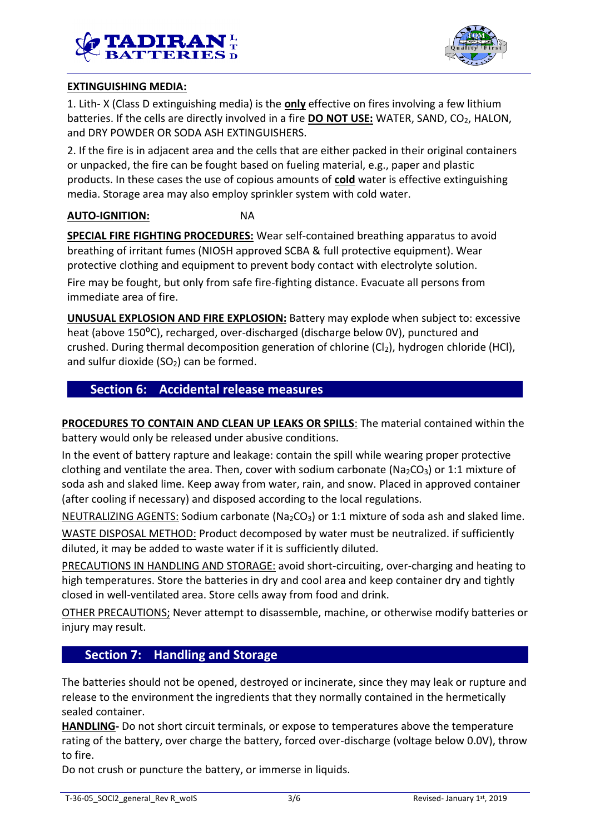



## **EXTINGUISHING MEDIA:**

1. Lith- X (Class D extinguishing media) is the **only** effective on fires involving a few lithium batteries. If the cells are directly involved in a fire **DO NOT USE:** WATER, SAND, CO<sub>2</sub>, HALON, and DRY POWDER OR SODA ASH EXTINGUISHERS.

2. If the fire is in adjacent area and the cells that are either packed in their original containers or unpacked, the fire can be fought based on fueling material, e.g., paper and plastic products. In these cases the use of copious amounts of **cold** water is effective extinguishing media. Storage area may also employ sprinkler system with cold water.

#### **AUTO-IGNITION:** NA

**SPECIAL FIRE FIGHTING PROCEDURES:** Wear self-contained breathing apparatus to avoid breathing of irritant fumes (NIOSH approved SCBA & full protective equipment). Wear protective clothing and equipment to prevent body contact with electrolyte solution.

Fire may be fought, but only from safe fire-fighting distance. Evacuate all persons from immediate area of fire.

**UNUSUAL EXPLOSION AND FIRE EXPLOSION:** Battery may explode when subject to: excessive heat (above 150<sup>o</sup>C), recharged, over-discharged (discharge below 0V), punctured and crushed. During thermal decomposition generation of chlorine  $(Cl<sub>2</sub>)$ , hydrogen chloride (HCl), and sulfur dioxide  $(SO<sub>2</sub>)$  can be formed.

## **Section 6: Accidental release measures**

**PROCEDURES TO CONTAIN AND CLEAN UP LEAKS OR SPILLS**: The material contained within the battery would only be released under abusive conditions.

In the event of battery rapture and leakage: contain the spill while wearing proper protective clothing and ventilate the area. Then, cover with sodium carbonate ( $Na<sub>2</sub>CO<sub>3</sub>$ ) or 1:1 mixture of soda ash and slaked lime. Keep away from water, rain, and snow. Placed in approved container (after cooling if necessary) and disposed according to the local regulations.

NEUTRALIZING AGENTS: Sodium carbonate ( $Na<sub>2</sub>CO<sub>3</sub>$ ) or 1:1 mixture of soda ash and slaked lime.

WASTE DISPOSAL METHOD: Product decomposed by water must be neutralized. if sufficiently diluted, it may be added to waste water if it is sufficiently diluted.

PRECAUTIONS IN HANDLING AND STORAGE: avoid short-circuiting, over-charging and heating to high temperatures. Store the batteries in dry and cool area and keep container dry and tightly closed in well-ventilated area. Store cells away from food and drink.

OTHER PRECAUTIONS; Never attempt to disassemble, machine, or otherwise modify batteries or injury may result.

## **Section 7: Handling and Storage**

The batteries should not be opened, destroyed or incinerate, since they may leak or rupture and release to the environment the ingredients that they normally contained in the hermetically sealed container.

**HANDLING-** Do not short circuit terminals, or expose to temperatures above the temperature rating of the battery, over charge the battery, forced over-discharge (voltage below 0.0V), throw to fire.

Do not crush or puncture the battery, or immerse in liquids.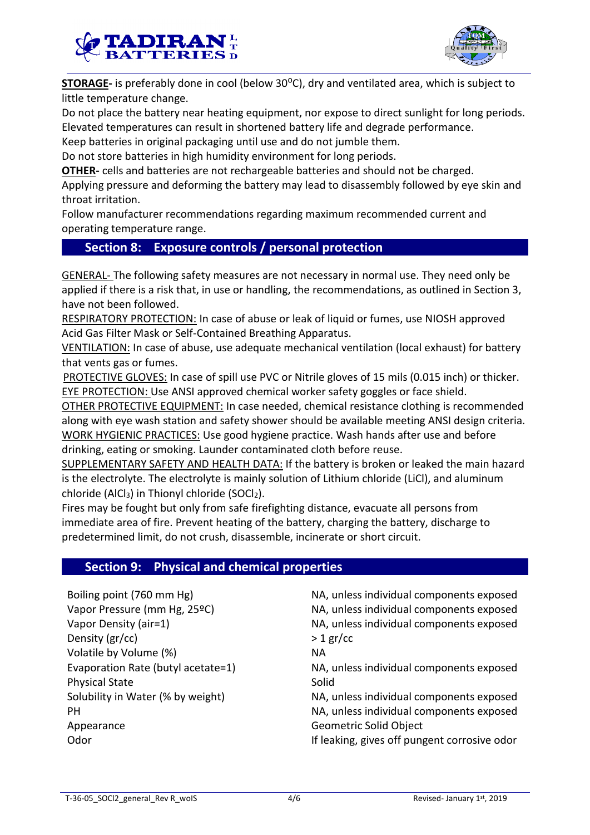



**STORAGE-** is preferably done in cool (below 30<sup>o</sup>C), dry and ventilated area, which is subject to little temperature change.

Do not place the battery near heating equipment, nor expose to direct sunlight for long periods. Elevated temperatures can result in shortened battery life and degrade performance.

Keep batteries in original packaging until use and do not jumble them.

Do not store batteries in high humidity environment for long periods.

**OTHER-** cells and batteries are not rechargeable batteries and should not be charged.

Applying pressure and deforming the battery may lead to disassembly followed by eye skin and throat irritation.

Follow manufacturer recommendations regarding maximum recommended current and operating temperature range.

## **Section 8: Exposure controls / personal protection**

GENERAL- The following safety measures are not necessary in normal use. They need only be applied if there is a risk that, in use or handling, the recommendations, as outlined in Section 3, have not been followed.

RESPIRATORY PROTECTION: In case of abuse or leak of liquid or fumes, use NIOSH approved Acid Gas Filter Mask or Self-Contained Breathing Apparatus.

VENTILATION: In case of abuse, use adequate mechanical ventilation (local exhaust) for battery that vents gas or fumes.

PROTECTIVE GLOVES: In case of spill use PVC or Nitrile gloves of 15 mils (0.015 inch) or thicker. EYE PROTECTION: Use ANSI approved chemical worker safety goggles or face shield.

OTHER PROTECTIVE EQUIPMENT: In case needed, chemical resistance clothing is recommended along with eye wash station and safety shower should be available meeting ANSI design criteria. WORK HYGIENIC PRACTICES: Use good hygiene practice. Wash hands after use and before drinking, eating or smoking. Launder contaminated cloth before reuse.

SUPPLEMENTARY SAFETY AND HEALTH DATA: If the battery is broken or leaked the main hazard is the electrolyte. The electrolyte is mainly solution of Lithium chloride (LiCl), and aluminum chloride (AlCl<sub>3</sub>) in Thionyl chloride (SOCl<sub>2</sub>).

Fires may be fought but only from safe firefighting distance, evacuate all persons from immediate area of fire. Prevent heating of the battery, charging the battery, discharge to predetermined limit, do not crush, disassemble, incinerate or short circuit.

## **Section 9: Physical and chemical properties**

Boiling point (760 mm Hg) NA, unless individual components exposed Vapor Pressure (mm Hg, 25ºC) NA, unless individual components exposed Vapor Density (air=1) NA, unless individual components exposed Density  $(\text{gr/cc})$  > 1 gr/cc Volatile by Volume (%) NA Evaporation Rate (butyl acetate=1) NA, unless individual components exposed Physical State Solid Solubility in Water (% by weight) NA, unless individual components exposed PH NA, unless individual components exposed Appearance Geometric Solid Object Odor **If leaking, gives off pungent corrosive odor** If leaking, gives off pungent corrosive odor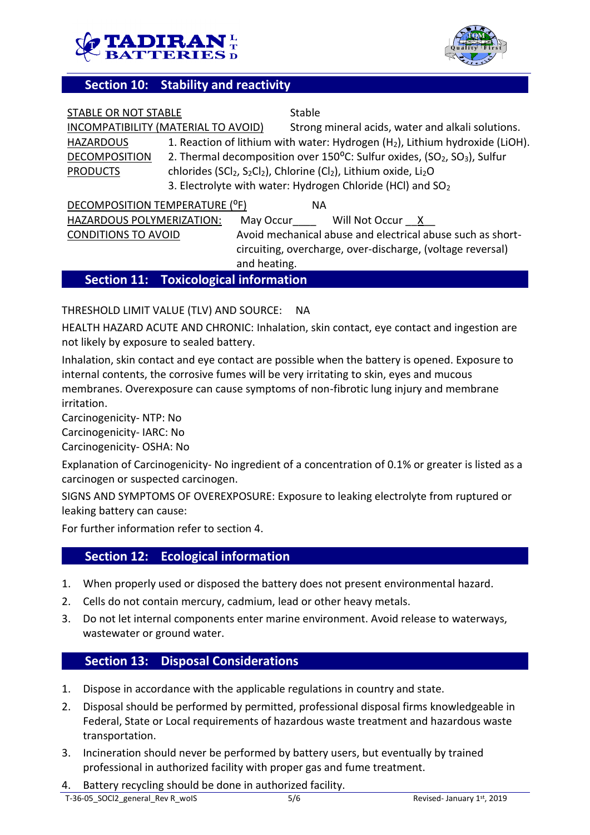



## **Section 10: Stability and reactivity**

| STABLE OR NOT STABLE                |                                              | Stable                                                                                                                        |
|-------------------------------------|----------------------------------------------|-------------------------------------------------------------------------------------------------------------------------------|
| INCOMPATIBILITY (MATERIAL TO AVOID) |                                              | Strong mineral acids, water and alkali solutions.                                                                             |
| <b>HAZARDOUS</b>                    |                                              | 1. Reaction of lithium with water: Hydrogen (H <sub>2</sub> ), Lithium hydroxide (LiOH).                                      |
| <b>DECOMPOSITION</b>                |                                              | 2. Thermal decomposition over 150°C: Sulfur oxides, (SO <sub>2</sub> , SO <sub>3</sub> ), Sulfur                              |
| <b>PRODUCTS</b>                     |                                              | chlorides (SCl <sub>2</sub> , S <sub>2</sub> Cl <sub>2</sub> ), Chlorine (Cl <sub>2</sub> ), Lithium oxide, Li <sub>2</sub> O |
|                                     |                                              | 3. Electrolyte with water: Hydrogen Chloride (HCl) and SO <sub>2</sub>                                                        |
| DECOMPOSITION TEMPERATURE (°F)      |                                              | <b>NA</b>                                                                                                                     |
| HAZARDOUS POLYMERIZATION:           |                                              | May Occur Will Not Occur X                                                                                                    |
| <b>CONDITIONS TO AVOID</b>          |                                              | Avoid mechanical abuse and electrical abuse such as short-                                                                    |
|                                     |                                              | circuiting, overcharge, over-discharge, (voltage reversal)                                                                    |
|                                     |                                              | and heating.                                                                                                                  |
|                                     | <b>Section 11: Toxicological information</b> |                                                                                                                               |

## THRESHOLD LIMIT VALUE (TLV) AND SOURCE: NA

HEALTH HAZARD ACUTE AND CHRONIC: Inhalation, skin contact, eye contact and ingestion are not likely by exposure to sealed battery.

Inhalation, skin contact and eye contact are possible when the battery is opened. Exposure to internal contents, the corrosive fumes will be very irritating to skin, eyes and mucous membranes. Overexposure can cause symptoms of non-fibrotic lung injury and membrane irritation.

Carcinogenicity- NTP: No

Carcinogenicity- IARC: No

Carcinogenicity- OSHA: No

Explanation of Carcinogenicity- No ingredient of a concentration of 0.1% or greater is listed as a carcinogen or suspected carcinogen.

SIGNS AND SYMPTOMS OF OVEREXPOSURE: Exposure to leaking electrolyte from ruptured or leaking battery can cause:

For further information refer to section 4.

## **Section 12: Ecological information**

- 1. When properly used or disposed the battery does not present environmental hazard.
- 2. Cells do not contain mercury, cadmium, lead or other heavy metals.
- 3. Do not let internal components enter marine environment. Avoid release to waterways, wastewater or ground water.

## **Section 13: Disposal Considerations**

- 1. Dispose in accordance with the applicable regulations in country and state.
- 2. Disposal should be performed by permitted, professional disposal firms knowledgeable in Federal, State or Local requirements of hazardous waste treatment and hazardous waste transportation.
- 3. Incineration should never be performed by battery users, but eventually by trained professional in authorized facility with proper gas and fume treatment.
- Battery recycling should be done in authorized facility.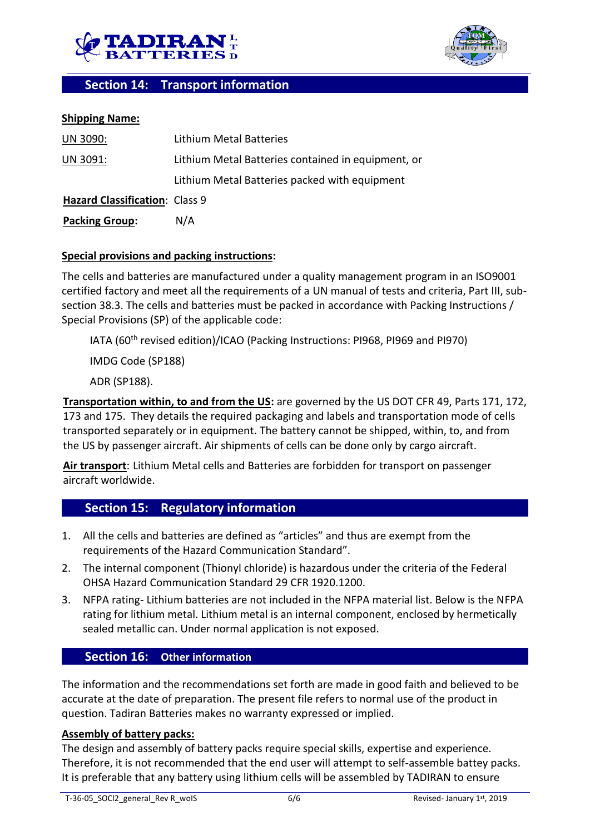



## **Section 14: Transport information**

#### **Shipping Name:**

| UN 3090:                       | Lithium Metal Batteries                            |
|--------------------------------|----------------------------------------------------|
| UN 3091:                       | Lithium Metal Batteries contained in equipment, or |
|                                | Lithium Metal Batteries packed with equipment      |
| Hazard Classification: Class 9 |                                                    |
| <b>Packing Group:</b>          | N/A                                                |

#### **Special provisions and packing instructions:**

The cells and batteries are manufactured under a quality management program in an ISO9001 certified factory and meet all the requirements of a UN manual of tests and criteria, Part III, subsection 38.3. The cells and batteries must be packed in accordance with Packing Instructions / Special Provisions (SP) of the applicable code:

IATA (60th revised edition)/ICAO (Packing Instructions: PI968, PI969 and PI970)

IMDG Code (SP188)

ADR (SP188).

**Transportation within, to and from the US:** are governed by the US DOT CFR 49, Parts 171, 172, 173 and 175. They details the required packaging and labels and transportation mode of cells transported separately or in equipment. The battery cannot be shipped, within, to, and from the US by passenger aircraft. Air shipments of cells can be done only by cargo aircraft.

**Air transport**: Lithium Metal cells and Batteries are forbidden for transport on passenger aircraft worldwide.

## **Section 15: Regulatory information**

- 1. All the cells and batteries are defined as "articles" and thus are exempt from the requirements of the Hazard Communication Standard".
- 2. The internal component (Thionyl chloride) is hazardous under the criteria of the Federal OHSA Hazard Communication Standard 29 CFR 1920.1200.
- 3. NFPA rating- Lithium batteries are not included in the NFPA material list. Below is the NFPA rating for lithium metal. Lithium metal is an internal component, enclosed by hermetically sealed metallic can. Under normal application is not exposed.

## **Section 16: Other information**

The information and the recommendations set forth are made in good faith and believed to be accurate at the date of preparation. The present file refers to normal use of the product in question. Tadiran Batteries makes no warranty expressed or implied.

#### **Assembly of battery packs:**

The design and assembly of battery packs require special skills, expertise and experience. Therefore, it is not recommended that the end user will attempt to self-assemble battey packs. It is preferable that any battery using lithium cells will be assembled by TADIRAN to ensure